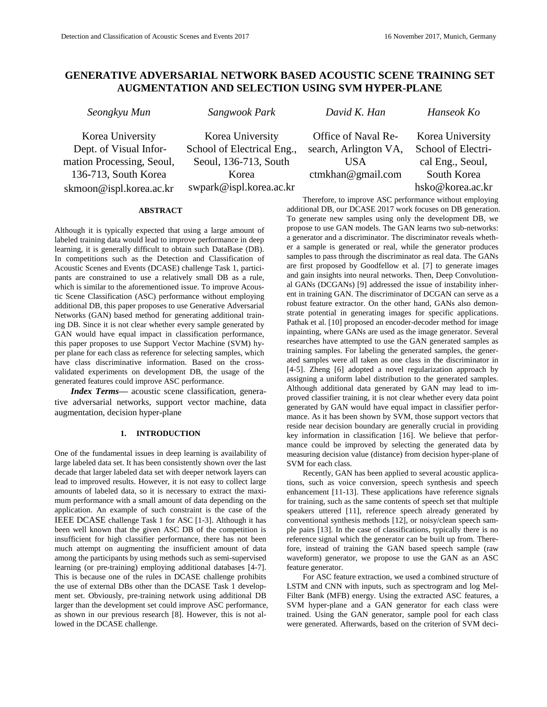# **GENERATIVE ADVERSARIAL NETWORK BASED ACOUSTIC SCENE TRAINING SET AUGMENTATION AND SELECTION USING SVM HYPER-PLANE**

*Seongkyu Mun Sangwook Park David K. Han Hanseok Ko*

Korea University Dept. of Visual Information Processing, Seoul, 136-713, South Korea skmoon@ispl.korea.ac.kr

Korea University School of Electrical Eng., Seoul, 136-713, South Korea swpark@ispl.korea.ac.kr

Office of Naval Research, Arlington VA, USA ctmkhan@gmail.com

Korea University School of Electrical Eng., Seoul, South Korea hsko@korea.ac.kr

# **ABSTRACT**

Although it is typically expected that using a large amount of labeled training data would lead to improve performance in deep learning, it is generally difficult to obtain such DataBase (DB). In competitions such as the Detection and Classification of Acoustic Scenes and Events (DCASE) challenge Task 1, participants are constrained to use a relatively small DB as a rule, which is similar to the aforementioned issue. To improve Acoustic Scene Classification (ASC) performance without employing additional DB, this paper proposes to use Generative Adversarial Networks (GAN) based method for generating additional training DB. Since it is not clear whether every sample generated by GAN would have equal impact in classification performance, this paper proposes to use Support Vector Machine (SVM) hyper plane for each class as reference for selecting samples, which have class discriminative information. Based on the crossvalidated experiments on development DB, the usage of the generated features could improve ASC performance.

*Index Terms—* acoustic scene classification, generative adversarial networks, support vector machine, data augmentation, decision hyper-plane

## **1. INTRODUCTION**

One of the fundamental issues in deep learning is availability of large labeled data set. It has been consistently shown over the last decade that larger labeled data set with deeper network layers can lead to improved results. However, it is not easy to collect large amounts of labeled data, so it is necessary to extract the maximum performance with a small amount of data depending on the application. An example of such constraint is the case of the IEEE DCASE challenge Task 1 for ASC [1-3]. Although it has been well known that the given ASC DB of the competition is insufficient for high classifier performance, there has not been much attempt on augmenting the insufficient amount of data among the participants by using methods such as semi-supervised learning (or pre-training) employing additional databases [4-7]. This is because one of the rules in DCASE challenge prohibits the use of external DBs other than the DCASE Task 1 development set. Obviously, pre-training network using additional DB larger than the development set could improve ASC performance, as shown in our previous research [8]. However, this is not allowed in the DCASE challenge.

Therefore, to improve ASC performance without employing additional DB, our DCASE 2017 work focuses on DB generation. To generate new samples using only the development DB, we propose to use GAN models. The GAN learns two sub-networks: a generator and a discriminator. The discriminator reveals whether a sample is generated or real, while the generator produces samples to pass through the discriminator as real data. The GANs are first proposed by Goodfellow et al. [7] to generate images and gain insights into neural networks. Then, Deep Convolutional GANs (DCGANs) [9] addressed the issue of instability inherent in training GAN. The discriminator of DCGAN can serve as a robust feature extractor. On the other hand, GANs also demonstrate potential in generating images for specific applications. Pathak et al. [10] proposed an encoder-decoder method for image inpainting, where GANs are used as the image generator. Several researches have attempted to use the GAN generated samples as training samples. For labeling the generated samples, the generated samples were all taken as one class in the discriminator in [4-5]. Zheng [6] adopted a novel regularization approach by assigning a uniform label distribution to the generated samples. Although additional data generated by GAN may lead to improved classifier training, it is not clear whether every data point generated by GAN would have equal impact in classifier performance. As it has been shown by SVM, those support vectors that reside near decision boundary are generally crucial in providing key information in classification [16]. We believe that performance could be improved by selecting the generated data by measuring decision value (distance) from decision hyper-plane of SVM for each class.

Recently, GAN has been applied to several acoustic applications, such as voice conversion, speech synthesis and speech enhancement [11-13]. These applications have reference signals for training, such as the same contents of speech set that multiple speakers uttered [11], reference speech already generated by conventional synthesis methods [12], or noisy/clean speech sample pairs [13]. In the case of classifications, typically there is no reference signal which the generator can be built up from. Therefore, instead of training the GAN based speech sample (raw waveform) generator, we propose to use the GAN as an ASC feature generator.

For ASC feature extraction, we used a combined structure of LSTM and CNN with inputs, such as spectrogram and log Mel-Filter Bank (MFB) energy. Using the extracted ASC features, a SVM hyper-plane and a GAN generator for each class were trained. Using the GAN generator, sample pool for each class were generated. Afterwards, based on the criterion of SVM deci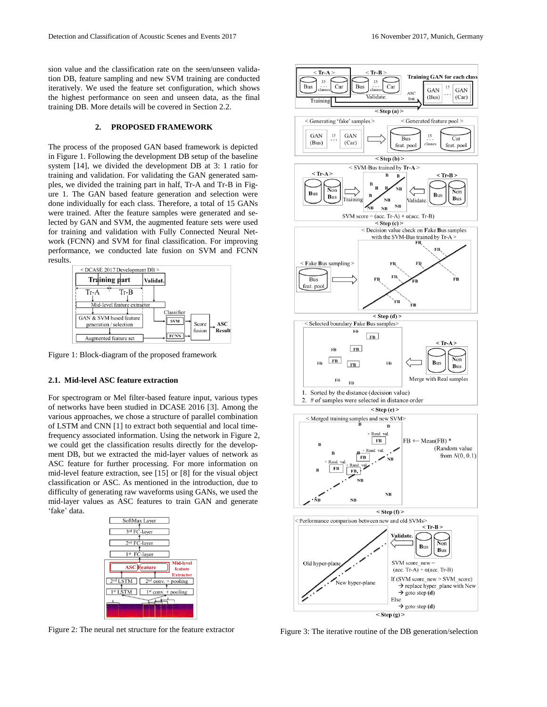sion value and the classification rate on the seen/unseen validation DB, feature sampling and new SVM training are conducted iteratively. We used the feature set configuration, which shows the highest performance on seen and unseen data, as the final training DB. More details will be covered in Section 2.2.

### **2. PROPOSED FRAMEWORK**

The process of the proposed GAN based framework is depicted in Figure 1. Following the development DB setup of the baseline system [14], we divided the development DB at 3: 1 ratio for training and validation. For validating the GAN generated samples, we divided the training part in half, Tr-A and Tr-B in Figure 1. The GAN based feature generation and selection were done individually for each class. Therefore, a total of 15 GANs were trained. After the feature samples were generated and selected by GAN and SVM, the augmented feature sets were used for training and validation with Fully Connected Neural Network (FCNN) and SVM for final classification. For improving performance, we conducted late fusion on SVM and FCNN results.



Figure 1: Block-diagram of the proposed framework

# **2.1. Mid-level ASC feature extraction**

For spectrogram or Mel filter-based feature input, various types of networks have been studied in DCASE 2016 [3]. Among the various approaches, we chose a structure of parallel combination of LSTM and CNN [1] to extract both sequential and local timefrequency associated information. Using the network in Figure 2, we could get the classification results directly for the development DB, but we extracted the mid-layer values of network as ASC feature for further processing. For more information on mid-level feature extraction, see [15] or [8] for the visual object classification or ASC. As mentioned in the introduction, due to difficulty of generating raw waveforms using GANs, we used the mid-layer values as ASC features to train GAN and generate 'fake' data.



Figure 2: The neural net structure for the feature extractor Figure 3: The iterative routine of the DB generation/selection

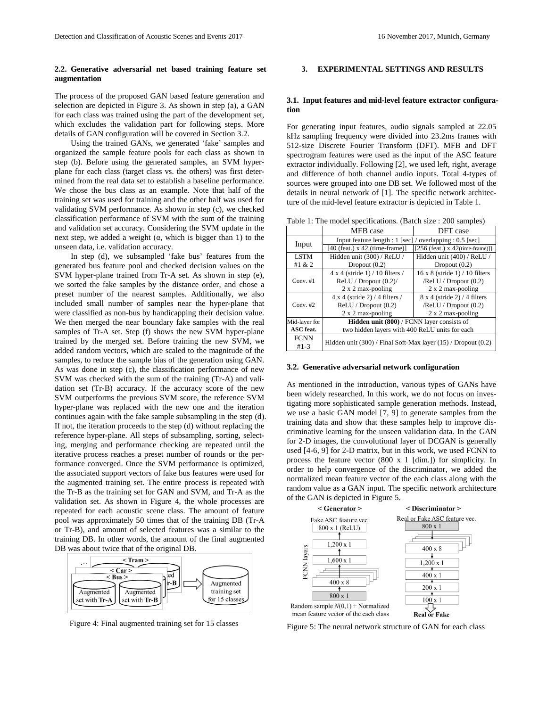## **2.2. Generative adversarial net based training feature set augmentation**

The process of the proposed GAN based feature generation and selection are depicted in Figure 3. As shown in step (a), a GAN for each class was trained using the part of the development set, which excludes the validation part for following steps. More details of GAN configuration will be covered in Section 3.2.

Using the trained GANs, we generated "fake" samples and organized the sample feature pools for each class as shown in step (b). Before using the generated samples, an SVM hyperplane for each class (target class vs. the others) was first determined from the real data set to establish a baseline performance. We chose the bus class as an example. Note that half of the training set was used for training and the other half was used for validating SVM performance. As shown in step (c), we checked classification performance of SVM with the sum of the training and validation set accuracy. Considering the SVM update in the next step, we added a weight  $(\alpha, \text{ which is bigger than 1})$  to the unseen data, i.e. validation accuracy.

In step (d), we subsampled 'fake bus' features from the generated bus feature pool and checked decision values on the SVM hyper-plane trained from Tr-A set. As shown in step (e), we sorted the fake samples by the distance order, and chose a preset number of the nearest samples. Additionally, we also included small number of samples near the hyper-plane that were classified as non-bus by handicapping their decision value. We then merged the near boundary fake samples with the real samples of Tr-A set. Step (f) shows the new SVM hyper-plane trained by the merged set. Before training the new SVM, we added random vectors, which are scaled to the magnitude of the samples, to reduce the sample bias of the generation using GAN. As was done in step (c), the classification performance of new SVM was checked with the sum of the training (Tr-A) and validation set (Tr-B) accuracy. If the accuracy score of the new SVM outperforms the previous SVM score, the reference SVM hyper-plane was replaced with the new one and the iteration continues again with the fake sample subsampling in the step (d). If not, the iteration proceeds to the step (d) without replacing the reference hyper-plane. All steps of subsampling, sorting, selecting, merging and performance checking are repeated until the iterative process reaches a preset number of rounds or the performance converged. Once the SVM performance is optimized, the associated support vectors of fake bus features were used for the augmented training set. The entire process is repeated with the Tr-B as the training set for GAN and SVM, and Tr-A as the validation set. As shown in Figure 4, the whole processes are repeated for each acoustic scene class. The amount of feature pool was approximately 50 times that of the training DB (Tr-A or Tr-B), and amount of selected features was a similar to the training DB. In other words, the amount of the final augmented DB was about twice that of the original DB.



Figure 4: Final augmented training set for 15 classes

# **3. EXPERIMENTAL SETTINGS AND RESULTS**

## **3.1. Input features and mid-level feature extractor configuration**

For generating input features, audio signals sampled at 22.05 kHz sampling frequency were divided into 23.2ms frames with 512-size Discrete Fourier Transform (DFT). MFB and DFT spectrogram features were used as the input of the ASC feature extractor individually. Following [2], we used left, right, average and difference of both channel audio inputs. Total 4-types of sources were grouped into one DB set. We followed most of the details in neural network of [1]. The specific network architecture of the mid-level feature extractor is depicted in Table 1.

| Table 1: The model specifications. (Batch size : 200 samples) |
|---------------------------------------------------------------|
|---------------------------------------------------------------|

|                       | MFB case                                                            | DFT case                              |  |  |  |  |
|-----------------------|---------------------------------------------------------------------|---------------------------------------|--|--|--|--|
|                       | Input feature length : $1$ [sec] / overlapping : 0.5 [sec]          |                                       |  |  |  |  |
| Input                 | $[40$ (feat.) x 42 (time-frame)]                                    | [256 (feat.) $x$ 42(time-frame)]]     |  |  |  |  |
| <b>LSTM</b>           | Hidden unit (300) / ReLU /<br>Hidden unit (400) / ReLU /            |                                       |  |  |  |  |
| #1 & 2                | Dropout $(0.2)$<br>Dropout $(0.2)$                                  |                                       |  |  |  |  |
|                       | $4 \times 4$ (stride 1) / 10 filters /                              | $16 \times 8$ (stride 1) / 10 filters |  |  |  |  |
| Conv. $#1$            | ReLU / Dropout (0.2)                                                | /ReLU / Dropout (0.2)                 |  |  |  |  |
|                       | 2 x 2 max-pooling                                                   | $2 \times 2$ max-pooling              |  |  |  |  |
|                       | $4 \times 4$ (stride 2) / 4 filters /                               | $8 \times 4$ (stride 2) / 4 filters   |  |  |  |  |
| Conv. $#2$            | ReLU / Dropout (0.2)                                                | /ReLU / Dropout (0.2)                 |  |  |  |  |
|                       | $2 \times 2$ max-pooling                                            | $2 \times 2$ max-pooling              |  |  |  |  |
| Mid-layer for         | Hidden unit (800) / FCNN layer consists of                          |                                       |  |  |  |  |
| <b>ASC</b> feat.      | two hidden layers with 400 ReLU units for each                      |                                       |  |  |  |  |
| <b>FCNN</b><br>$#1-3$ | Hidden unit $(300)$ / Final Soft-Max layer $(15)$ / Dropout $(0.2)$ |                                       |  |  |  |  |

#### **3.2. Generative adversarial network configuration**

As mentioned in the introduction, various types of GANs have been widely researched. In this work, we do not focus on investigating more sophisticated sample generation methods. Instead, we use a basic GAN model [7, 9] to generate samples from the training data and show that these samples help to improve discriminative learning for the unseen validation data. In the GAN for 2-D images, the convolutional layer of DCGAN is generally used [4-6, 9] for 2-D matrix, but in this work, we used FCNN to process the feature vector (800 x 1 [dim.]) for simplicity. In order to help convergence of the discriminator, we added the normalized mean feature vector of the each class along with the random value as a GAN input. The specific network architecture of the GAN is depicted in Figure 5.



Figure 5: The neural network structure of GAN for each class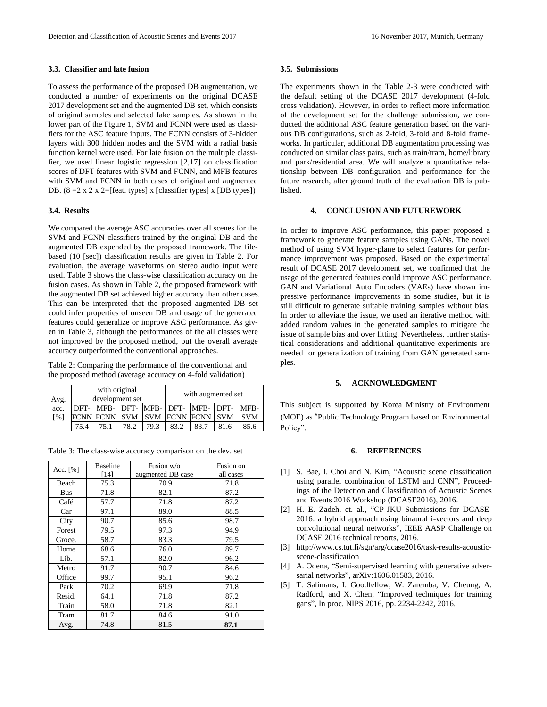# **3.3. Classifier and late fusion**

To assess the performance of the proposed DB augmentation, we conducted a number of experiments on the original DCASE 2017 development set and the augmented DB set, which consists of original samples and selected fake samples. As shown in the lower part of the Figure 1, SVM and FCNN were used as classifiers for the ASC feature inputs. The FCNN consists of 3-hidden layers with 300 hidden nodes and the SVM with a radial basis function kernel were used. For late fusion on the multiple classifier, we used linear logistic regression [2,17] on classification scores of DFT features with SVM and FCNN, and MFB features with SVM and FCNN in both cases of original and augmented DB.  $(8 = 2 \times 2 \times 2 = [feat. types] \times [classification types] \times [DB types])$ 

### **3.4. Results**

We compared the average ASC accuracies over all scenes for the SVM and FCNN classifiers trained by the original DB and the augmented DB expended by the proposed framework. The filebased (10 [sec]) classification results are given in Table 2. For evaluation, the average waveforms on stereo audio input were used. Table 3 shows the class-wise classification accuracy on the fusion cases. As shown in Table 2, the proposed framework with the augmented DB set achieved higher accuracy than other cases. This can be interpreted that the proposed augmented DB set could infer properties of unseen DB and usage of the generated features could generalize or improve ASC performance. As given in Table 3, although the performances of the all classes were not improved by the proposed method, but the overall average accuracy outperformed the conventional approaches.

Table 2: Comparing the performance of the conventional and the proposed method (average accuracy on 4-fold validation)

| Avg.               | with original<br>development set |  |      |      |                                    | with augmented set |            |
|--------------------|----------------------------------|--|------|------|------------------------------------|--------------------|------------|
| acc.               | DFT-                             |  |      |      | MFB- DFT- MFB- DFT- MFB- DFT- MFB- |                    |            |
| $\lceil 96 \rceil$ |                                  |  |      |      | FCNN FCNN SVM SVM FCNN FCNN SVM    |                    | <b>SVM</b> |
|                    | 75.4                             |  | 78.2 | 79.3 | 83.2                               | 83.7               | 85.6       |

Table 3: The class-wise accuracy comparison on the dev. set

|            | <b>Baseline</b> | Fusion w/o        | Fusion on |
|------------|-----------------|-------------------|-----------|
| Acc. $[%]$ | $[14]$          | augmented DB case | all cases |
| Beach      | 75.3            | 70.9              | 71.8      |
|            |                 |                   |           |
| Bus        | 71.8            | 82.1              | 87.2      |
| Café       | 57.7            | 71.8              | 87.2      |
| Car        | 97.1            | 89.0              | 88.5      |
| City       | 90.7            | 85.6              | 98.7      |
| Forest     | 79.5            | 97.3              | 94.9      |
| Groce.     | 58.7            | 83.3              | 79.5      |
| Home       | 68.6            | 76.0              | 89.7      |
| Lib.       | 57.1            | 82.0              | 96.2      |
| Metro      | 91.7            | 90.7              | 84.6      |
| Office     | 99.7            | 95.1              | 96.2      |
| Park       | 70.2            | 69.9              | 71.8      |
| Resid.     | 64.1            | 71.8              | 87.2      |
| Train      | 58.0            | 71.8              | 82.1      |
| Tram       | 81.7            | 84.6              | 91.0      |
| Avg.       | 74.8            | 81.5              | 87.1      |

# **3.5. Submissions**

The experiments shown in the Table 2-3 were conducted with the default setting of the DCASE 2017 development (4-fold cross validation). However, in order to reflect more information of the development set for the challenge submission, we conducted the additional ASC feature generation based on the various DB configurations, such as 2-fold, 3-fold and 8-fold frameworks. In particular, additional DB augmentation processing was conducted on similar class pairs, such as train/tram, home/library and park/residential area. We will analyze a quantitative relationship between DB configuration and performance for the future research, after ground truth of the evaluation DB is published.

### **4. CONCLUSION AND FUTUREWORK**

In order to improve ASC performance, this paper proposed a framework to generate feature samples using GANs. The novel method of using SVM hyper-plane to select features for performance improvement was proposed. Based on the experimental result of DCASE 2017 development set, we confirmed that the usage of the generated features could improve ASC performance. GAN and Variational Auto Encoders (VAEs) have shown impressive performance improvements in some studies, but it is still difficult to generate suitable training samples without bias. In order to alleviate the issue, we used an iterative method with added random values in the generated samples to mitigate the issue of sample bias and over fitting. Nevertheless, further statistical considerations and additional quantitative experiments are needed for generalization of training from GAN generated samples.

# **5. ACKNOWLEDGMENT**

This subject is supported by Korea Ministry of Environment (MOE) as "Public Technology Program based on Environmental Policy".

### **6. REFERENCES**

- [1] S. Bae, I. Choi and N. Kim, "Acoustic scene classification using parallel combination of LSTM and CNN", Proceedings of the Detection and Classification of Acoustic Scenes and Events 2016 Workshop (DCASE2016), 2016.
- [2] H. E. Zadeh, et. al., "CP-JKU Submissions for DCASE-2016: a hybrid approach using binaural i-vectors and deep convolutional neural networks", IEEE AASP Challenge on DCASE 2016 technical reports, 2016.
- [3] http://www.cs.tut.fi/sgn/arg/dcase2016/task-results-acousticscene-classification
- [4] A. Odena, "Semi-supervised learning with generative adversarial networks", arXiv:1606.01583, 2016.
- [5] T. Salimans, I. Goodfellow, W. Zaremba, V. Cheung, A. Radford, and X. Chen, "Improved techniques for training gans", In proc. NIPS 2016, pp. 2234-2242, 2016.